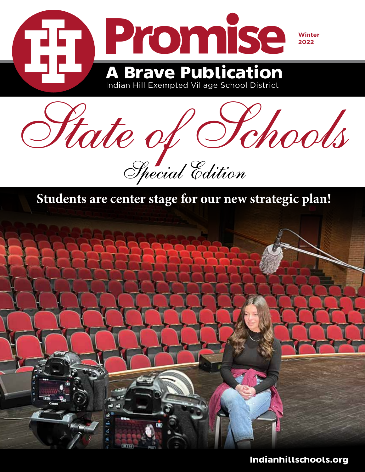



Special Edition

**Students are center stage for our new strategic plan!**

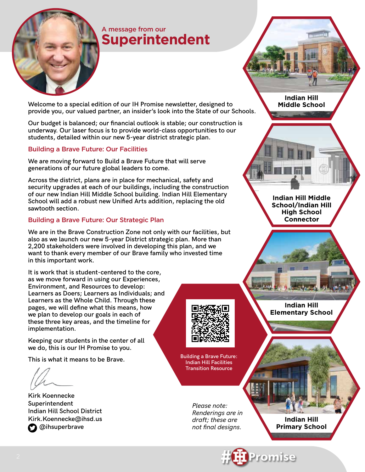

### A message from our **Superintendent**

Welcome to a special edition of our IH Promise newsletter, designed to **provide you, our valued partner, an insider's look into the State of our Schools.** 

**Our budget is balanced; our financial outlook is stable; our construction is underway. Our laser focus is to provide world-class opportunities to our students, detailed within our new 5-year district strategic plan.**

### Building a Brave Future: Our Facilities

**We are moving forward to Build a Brave Future that will serve generations of our future global leaders to come.** 

**Across the district, plans are in place for mechanical, safety and security upgrades at each of our buildings, including the construction of our new Indian Hill Middle School building. Indian Hill Elementary School will add a robust new Unified Arts addition, replacing the old sawtooth section.**

### Building a Brave Future: Our Strategic Plan

**We are in the Brave Construction Zone not only with our facilities, but also as we launch our new 5-year District strategic plan. More than 2,200 stakeholders were involved in developing this plan, and we want to thank every member of our Brave family who invested time in this important work.**

**It is work that is student-centered to the core, as we move forward in using our Experiences, Environment, and Resources to develop: Learners as Doers; Learners as Individuals; and Learners as the Whole Child. Through these pages, we will define what this means, how we plan to develop our goals in each of these three key areas, and the timeline for implementation.** 

**Keeping our students in the center of all we do, this is our IH Promise to you.** 

**This is what it means to be Brave.**

**Kirk Koennecke Superintendent Indian Hill School District Kirk.Koennecke@ihsd.us @ihsuperbrave**



**Building a Brave Future: Indian Hill Facilities Transition Resource**

> *Please note: Renderings are in draft; these are not final designs.*

**Indian Hill Primary School**

**Indian Hill Elementary School**

**Indian Hill Middle School/Indian Hill High School Connector**

**Indian Hill** 

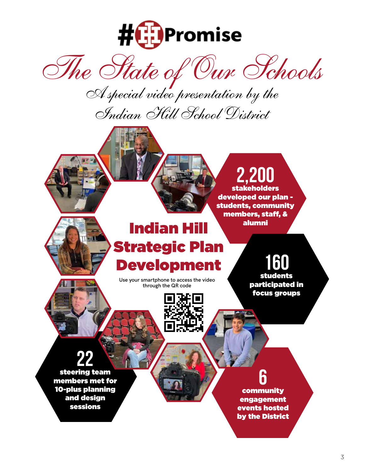



A special video presentation by the Indian Hill School District

### **2,200** stakeholders

developed our plan students, community members, staff, & alumni

## Indian Hill Strategic Plan Development

**Use your smartphone to access the video through the QR code**

**160** students participated in focus groups

# **22**

steering team members met for 10-plus planning and design sessions

# **6**

community engagement events hosted by the District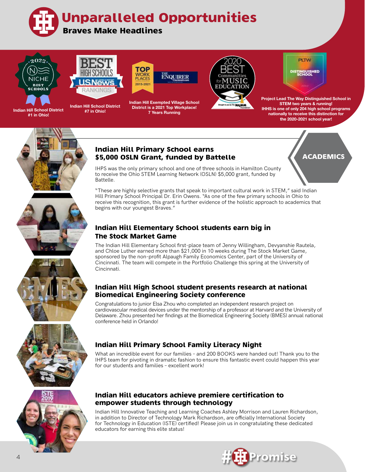Unparalleled Opportunities

TOP

**WORK**<br>PLACES

2015-2021

### Braves Make Headlines



**Indian Hill School District #1 in Ohio!**





**Indian Hill Exempted Village School District is a 2021 Top Workplace! 7 Years Running**

**ENQUIRER** 



**PLTW DISTINGUISHED** 

**Project Lead The Way Distinguished School in STEM two years & running! IHHS is one of only 204 high school programs nationally to receive this distinction for the 2020-2021 school year!**

**ACADEMICS** 



### Indian Hill Primary School earns \$5,000 OSLN Grant, funded by Battelle

IHPS was the only primary school and one of three schools in Hamilton County to receive the Ohio STEM Learning Network (OSLN) \$5,000 grant, funded by Battelle.

"These are highly selective grants that speak to important cultural work in STEM," said Indian Hill Primary School Principal Dr. Erin Owens. "As one of the few primary schools in Ohio to receive this recognition, this grant is further evidence of the holistic approach to academics that begins with our youngest Braves."

### Indian Hill Elementary School students earn big in The Stock Market Game

The Indian Hill Elementary School first-place team of Jenny Willingham, Devyanshie Rautela, and Chloe Luther earned more than \$21,000 in 10 weeks during The Stock Market Game, sponsored by the non-profit Alpaugh Family Economics Center, part of the University of Cincinnati. The team will compete in the Portfolio Challenge this spring at the University of Cincinnati.

### Indian Hill High School student presents research at national Biomedical Engineering Society conference

Congratulations to junior Elsa Zhou who completed an independent research project on cardiovascular medical devices under the mentorship of a professor at Harvard and the University of Delaware. Zhou presented her findings at the Biomedical Engineering Society (BMES) annual national conference held in Orlando!

### Indian Hill Primary School Family Literacy Night

What an incredible event for our families – and 200 BOOKS were handed out! Thank you to the IHPS team for pivoting in dramatic fashion to ensure this fantastic event could happen this year for our students and families – excellent work!



### Indian Hill educators achieve premiere certification to empower students through technology

Indian Hill Innovative Teaching and Learning Coaches Ashley Morrison and Lauren Richardson, in addition to Director of Technology Mark Richardson, are officially International Society for Technology in Education (ISTE) certified! Please join us in congratulating these dedicated educators for earning this elite status!

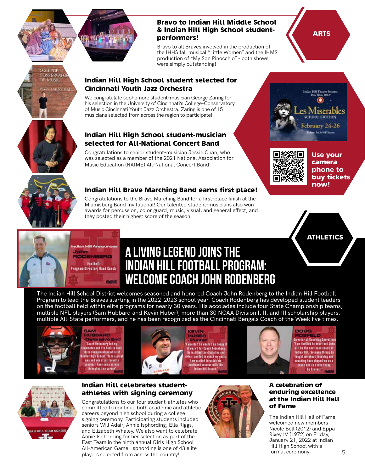### Bravo to Indian Hill Middle School & Indian Hill High School studentperformers!

Bravo to all Braves involved in the production of the IHHS fall musical "Little Women" and the IHMS production of "My Son Pinocchio" - both shows were simply outstanding!

### ARTS

Hill Theane Pr

s Miserables **SCHOOL EDITION** February 24-26 **hichelHilleen** 



### Indian Hill High School student selected for Cincinnati Youth Jazz Orchestra

We congratulate sophomore student-musician George Zaring for his selection in the University of Cincinnati's College-Conservatory of Music Cincinnati Youth Jazz Orchestra. Zaring is one of 15 musicians selected from across the region to participate!

### Indian Hill High School student-musician selected for All-National Concert Band

Congratulations to senior student-musician Jessie Chan, who was selected as a member of the 2021 National Association for Music Education (NAfME) All-National Concert Band!

### Indian Hill Brave Marching Band earns first place!

Congratulations to the Brave Marching Band for a first-place finish at the Miamisburg Band Invitational! Our talented student-musicians also won awards for percussion, color guard, music, visual, and general effect, and they posted their highest score of the season!



Use your camera phone to buy tickets now!





## **A living legend joins the Indian Hill Football Program: Welcome Coach John Rodenberg**

The Indian Hill School District welcomes seasoned and honored Coach John Rodenberg to the Indian Hill Football Program to lead the Braves starting in the 2022-2023 school year. Coach Rodenberg has developed student leaders on the football field within elite programs for nearly 30 years. His accolades include four State Championship teams, multiple NFL players (Sam Hubbard and Kevin Huber), more than 30 NCAA Division I, II, and III scholarship players, multiple All-State performers, and he has been recognized as the Cincinnati Bengals Coach of the Week five times.



**MAGE IUBBARD** Defensive End "Soach Rodonberg lod my<br>mundes and I to back to back zfats championships while at oller fligh School. He is a grout man and one of my favorite conches I have come across throughout my career



HUBBR **Punton** roofdn't be where I am today if It wasn't for Coach Rodenberg<br>He instilled the discipline and n i nosdod ta reach my guali I am excited to watch his coticaed success with the Indian Hill Braves.



poug **ROSFELD** irector of Coaching Operations I am theilled to bear that John<br>will be the next bead coach at Indian Hill.: So many things he taught me about feaching and coaching have shaped mo as a couch and as a man today. **Ex Braves!'** 



### Indian Hill celebrates studentathletes with signing ceremony

Congratulations to our four student-athletes who committed to continue both academic and athletic careers beyond high school during a college signing ceremony. Participating students included seniors Will Adair, Annie Isphording, Ella Riggs, and Elizabeth Whaley. We also want to celebrate Annie Isphording for her selection as part of the East Team in the ninth annual Girls High School All-American Game. Isphording is one of 43 elite players selected from across the country!



### A celebration of enduring excellence at the Indian Hill Hall of Fame

The Indian Hill Hall of Fame welcomed new members Nicole Bell (2012) and Eppa Rixey IV (1972) on Friday, January 21, 2022 at Indian Hill High School with a formal ceremony.

**ATHLETICS**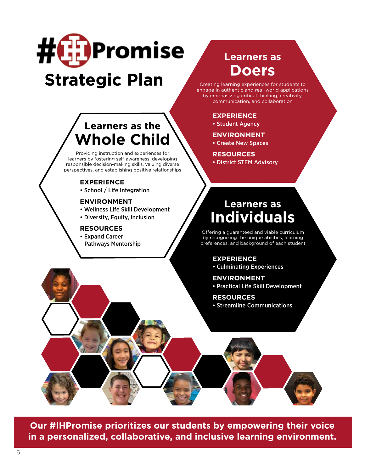# #**CD**Promise

## **Strategic Plan**

## **Learners as the Whole Child**

Providing instruction and experiences for learners by fostering self-awareness, developing responsible decision-making skills, valuing diverse perspectives, and establishing positive relationships

### **EXPERIENCE**

• School / Life Integration

### **ENVIRONMENT**

- Wellness Life Skill Development
- Diversity, Equity, Inclusion

### **RESOURCES**

• Expand Career Pathways Mentorship

## **Learners as Doers**

Creating learning experiences for students to engage in authentic and real-world applications by emphasizing critical thinking, creativity, communication, and collaboration

### **EXPERIENCE**

• Student Agency

### **ENVIRONMENT**

• Create New Spaces

### **RESOURCES**

• District STEM Advisory

## **Learners as Individuals**

Offering a guaranteed and viable curriculum by recognizing the unique abilities, learning preferences, and background of each student

### **EXPERIENCE**

• Culminating Experiences

### **ENVIRONMENT**

• Practical Life Skill Development

### **RESOURCES**

• Streamline Communications

**Our #IHPromise prioritizes our students by empowering their voice in a personalized, collaborative, and inclusive learning environment.**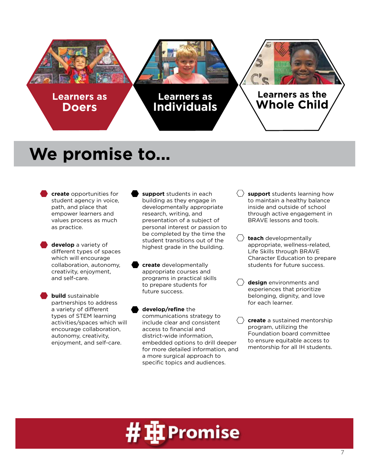

## **We promise to...**

- **create** opportunities for student agency in voice, path, and place that empower learners and values process as much as practice.
- **develop** a variety of different types of spaces which will encourage collaboration, autonomy, creativity, enjoyment, and self-care.
- **build** sustainable partnerships to address a variety of different types of STEM learning activities/spaces which will encourage collaboration, autonomy, creativity, enjoyment, and self-care.
- **support** students in each building as they engage in developmentally appropriate research, writing, and presentation of a subject of personal interest or passion to be completed by the time the student transitions out of the highest grade in the building.
- **create** developmentally appropriate courses and programs in practical skills to prepare students for future success.
- **develop/refine** the communications strategy to include clear and consistent access to financial and district-wide information, embedded options to drill deeper for more detailed information, and a more surgical approach to specific topics and audiences.
- **support** students learning how to maintain a healthy balance inside and outside of school through active engagement in BRAVE lessons and tools.
- **teach** developmentally appropriate, wellness-related, Life Skills through BRAVE Character Education to prepare students for future success.
- **design** environments and experiences that prioritize belonging, dignity, and love for each learner.
	- **create** a sustained mentorship program, utilizing the Foundation board committee to ensure equitable access to mentorship for all IH students.

# $\#$  H Promise